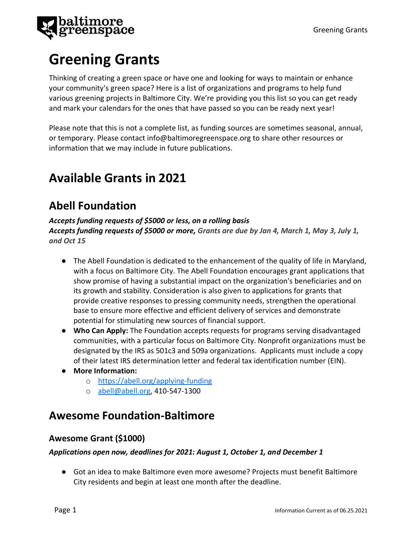

# **Greening Grants**

Thinking of creating a green space or have one and looking for ways to maintain or enhance your community's green space? Here is a list of organizations and programs to help fund various greening projects in Baltimore City. We're providing you this list so you can get ready and mark your calendars for the ones that have passed so you can be ready next year!

Please note that this is not a complete list, as funding sources are sometimes seasonal, annual, or temporary. Please contact info@baltimoregreenspace.org to share other resources or information that we may include in future publications.

# **Available Grants in 2021**

# **Abell Foundation**

*Accepts funding requests of \$5000 or less, on a rolling basis Accepts funding requests of \$5000 or more, Grants are due by Jan 4, March 1, May 3, July 1, and Oct 15*

- The Abell Foundation is dedicated to the enhancement of the quality of life in Maryland, with a focus on Baltimore City. The Abell Foundation encourages grant applications that show promise of having a substantial impact on the organization's beneficiaries and on its growth and stability. Consideration is also given to applications for grants that provide creative responses to pressing community needs, strengthen the operational base to ensure more effective and efficient delivery of services and demonstrate potential for stimulating new sources of financial support.
- **Who Can Apply:** The Foundation accepts requests for programs serving disadvantaged communities, with a particular focus on Baltimore City. Nonprofit organizations must be designated by the IRS as 501c3 and 509a organizations. Applicants must include a copy of their latest IRS determination letter and federal tax identification number (EIN).
- **More Information:**
	- o <https://abell.org/applying-funding>
	- o [abell@abell.org,](mailto:abell@abell.org) 410-547-1300

# **Awesome Foundation-Baltimore**

# **Awesome Grant (\$1000)**

### *Applications open now, deadlines for 2021: August 1, October 1, and December 1*

● Got an idea to make Baltimore even more awesome? Projects must benefit Baltimore City residents and begin at least one month after the deadline.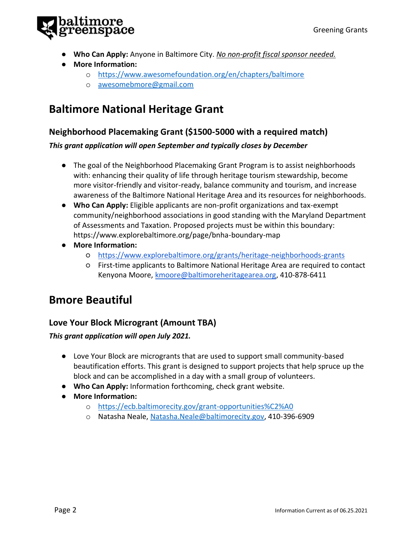

- **Who Can Apply:** Anyone in Baltimore City. *No non-profit fiscal sponsor needed.*
- **More Information:**
	- o <https://www.awesomefoundation.org/en/chapters/baltimore>
	- o [awesomebmore@gmail.com](mailto:awesomebmore@gmail.com)

# **Baltimore National Heritage Grant**

### **Neighborhood Placemaking Grant (\$1500-5000 with a required match)**

#### *This grant application will open September and typically closes by December*

- The goal of the Neighborhood Placemaking Grant Program is to assist neighborhoods with: enhancing their quality of life through heritage tourism stewardship, become more visitor-friendly and visitor-ready, balance community and tourism, and increase awareness of the Baltimore National Heritage Area and its resources for neighborhoods.
- **Who Can Apply:** Eligible applicants are non-profit organizations and tax-exempt community/neighborhood associations in good standing with the Maryland Department of Assessments and Taxation. Proposed projects must be within this boundary: https://www.explorebaltimore.org/page/bnha-boundary-map
- **More Information:**
	- <https://www.explorebaltimore.org/grants/heritage-neighborhoods-grants>
	- First-time applicants to Baltimore National Heritage Area are required to contact Kenyona Moore, [kmoore@baltimoreheritagearea.org,](mailto:kmoore@baltimoreheritagearea.org) 410-878-6411

# **Bmore Beautiful**

### **Love Your Block Microgrant (Amount TBA)**

#### *This grant application will open July 2021.*

- Love Your Block are microgrants that are used to support small community-based beautification efforts. This grant is designed to support projects that help spruce up the block and can be accomplished in a day with a small group of volunteers.
- **Who Can Apply:** Information forthcoming, check grant website.
- **More Information:** 
	- o <https://ecb.baltimorecity.gov/grant-opportunities%C2%A0>
	- o Natasha Neale[, Natasha.Neale@baltimorecity.gov,](mailto:Natasha.Neale@baltimorecity.gov) 410-396-6909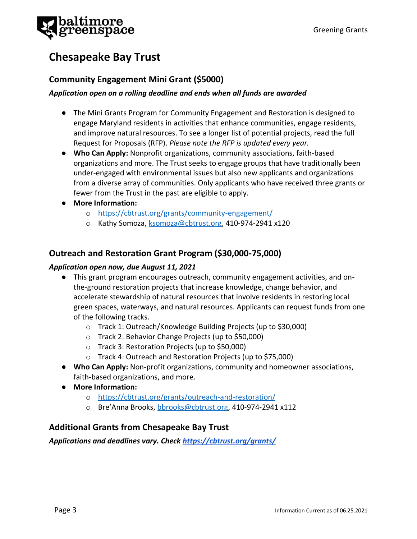# **Chesapeake Bay Trust**

### **Community Engagement Mini Grant (\$5000)**

#### *Application open on a rolling deadline and ends when all funds are awarded*

- The Mini Grants Program for Community Engagement and Restoration is designed to engage Maryland residents in activities that enhance communities, engage residents, and improve natural resources. To see a longer list of potential projects, read the full Request for Proposals (RFP). *Please note the RFP is updated every year.*
- **Who Can Apply:** Nonprofit organizations, community associations, faith-based organizations and more. The Trust seeks to engage groups that have traditionally been under-engaged with environmental issues but also new applicants and organizations from a diverse array of communities. Only applicants who have received three grants or fewer from the Trust in the past are eligible to apply.
- **More Information:**
	- o <https://cbtrust.org/grants/community-engagement/>
	- o Kathy Somoza, [ksomoza@cbtrust.org,](mailto:ksomoza@cbtrust.org) 410-974-2941 x120

### **Outreach and Restoration Grant Program (\$30,000-75,000)**

#### *Application open now, due August 11, 2021*

- This grant program encourages outreach, community engagement activities, and onthe-ground restoration projects that increase knowledge, change behavior, and accelerate stewardship of natural resources that involve residents in restoring local green spaces, waterways, and natural resources. Applicants can request funds from one of the following tracks.
	- o Track 1: Outreach/Knowledge Building Projects (up to \$30,000)
	- o Track 2: Behavior Change Projects (up to \$50,000)
	- o Track 3: Restoration Projects (up to \$50,000)
	- o Track 4: Outreach and Restoration Projects (up to \$75,000)
- **Who Can Apply:** Non-profit organizations, community and homeowner associations, faith-based organizations, and more.
- **More Information:**
	- o <https://cbtrust.org/grants/outreach-and-restoration/>
	- o Bre'Anna Brooks, [bbrooks@cbtrust.org,](mailto:bbrooks@cbtrust.org) 410-974-2941 x112

### **Additional Grants from Chesapeake Bay Trust**

*Applications and deadlines vary. Check<https://cbtrust.org/grants/>*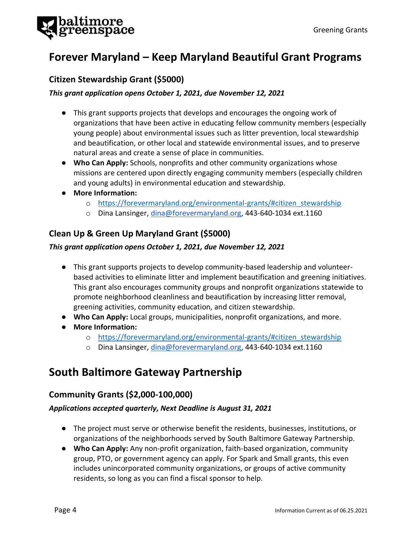

# **Forever Maryland – Keep Maryland Beautiful Grant Programs**

### **Citizen Stewardship Grant (\$5000)**

#### *This grant application opens October 1, 2021, due November 12, 2021*

- This grant supports projects that develops and encourages the ongoing work of organizations that have been active in educating fellow community members (especially young people) about environmental issues such as litter prevention, local stewardship and beautification, or other local and statewide environmental issues, and to preserve natural areas and create a sense of place in communities.
- **Who Can Apply:** Schools, nonprofits and other community organizations whose missions are centered upon directly engaging community members (especially children and young adults) in environmental education and stewardship.
- **More Information:**
	- o [https://forevermaryland.org/environmental-grants/#citizen\\_stewardship](https://forevermaryland.org/environmental-grants/#citizen_stewardship)
	- o Dina Lansinger, [dina@forevermaryland.org,](mailto:dina@forevermaryland.org) 443-640-1034 ext.1160

# **Clean Up & Green Up Maryland Grant (\$5000)**

#### *This grant application opens October 1, 2021, due November 12, 2021*

- This grant supports projects to develop community-based leadership and volunteerbased activities to eliminate litter and implement beautification and greening initiatives. This grant also encourages community groups and nonprofit organizations statewide to promote neighborhood cleanliness and beautification by increasing litter removal, greening activities, community education, and citizen stewardship.
- **Who Can Apply:** Local groups, municipalities, nonprofit organizations, and more.
- **More Information:**
	- o [https://forevermaryland.org/environmental-grants/#citizen\\_stewardship](https://forevermaryland.org/environmental-grants/#citizen_stewardship)
	- o Dina Lansinger, [dina@forevermaryland.org,](mailto:dina@forevermaryland.org) 443-640-1034 ext.1160

# **South Baltimore Gateway Partnership**

### **Community Grants (\$2,000-100,000)**

#### *Applications accepted quarterly, Next Deadline is August 31, 2021*

- The project must serve or otherwise benefit the residents, businesses, institutions, or organizations of the neighborhoods served by South Baltimore Gateway Partnership.
- **Who Can Apply:** Any non-profit organization, faith-based organization, community group, PTO, or government agency can apply. For Spark and Small grants, this even includes unincorporated community organizations, or groups of active community residents, so long as you can find a fiscal sponsor to help.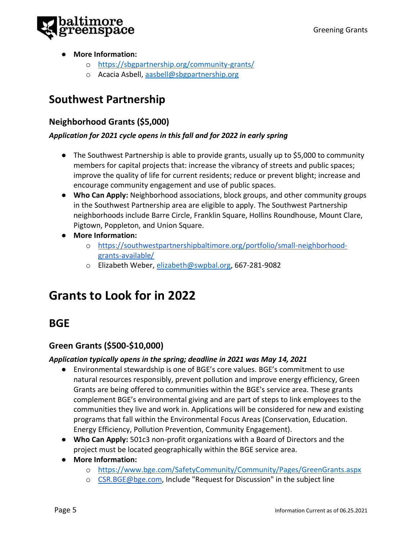

- **More Information:**
	- o <https://sbgpartnership.org/community-grants/>
	- o Acacia Asbell, [aasbell@sbgpartnership.org](mailto:aasbell@sbgpartnership.org)

# **Southwest Partnership**

### **Neighborhood Grants (\$5,000)**

#### *Application for 2021 cycle opens in this fall and for 2022 in early spring*

- The Southwest Partnership is able to provide grants, usually up to \$5,000 to community members for capital projects that: increase the vibrancy of streets and public spaces; improve the quality of life for current residents; reduce or prevent blight; increase and encourage community engagement and use of public spaces.
- **Who Can Apply:** Neighborhood associations, block groups, and other community groups in the Southwest Partnership area are eligible to apply. The Southwest Partnership neighborhoods include Barre Circle, Franklin Square, Hollins Roundhouse, Mount Clare, Pigtown, Poppleton, and Union Square.
- **More Information:**
	- o [https://southwestpartnershipbaltimore.org/portfolio/small-neighborhood](https://southwestpartnershipbaltimore.org/portfolio/small-neighborhood-grants-available/)[grants-available/](https://southwestpartnershipbaltimore.org/portfolio/small-neighborhood-grants-available/)
	- o Elizabeth Weber, [elizabeth@swpbal.org,](mailto:elizabeth@swpbal.org) 667-281-9082

# **Grants to Look for in 2022**

# **BGE**

### **Green Grants (\$500-\$10,000)**

#### *Application typically opens in the spring; deadline in 2021 was May 14, 2021*

- Environmental stewardship is one of BGE's core values. BGE's commitment to use natural resources responsibly, prevent pollution and improve energy efficiency, Green Grants are being offered to communities within the BGE's service area. These grants complement BGE's environmental giving and are part of steps to link employees to the communities they live and work in. Applications will be considered for new and existing programs that fall within the Environmental Focus Areas (Conservation, Education. Energy Efficiency, Pollution Prevention, Community Engagement).
- **Who Can Apply:** 501c3 non-profit organizations with a Board of Directors and the project must be located geographically within the BGE service area.
- **More Information:**
	- o <https://www.bge.com/SafetyCommunity/Community/Pages/GreenGrants.aspx>
	- o [CSR.BGE@bge.com,](mailto:CSR.BGE@bge.com) Include "Request for Discussion" in the subject line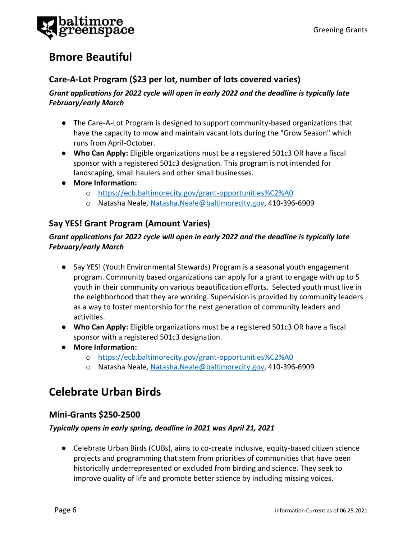

# **Bmore Beautiful**

### **Care-A-Lot Program (\$23 per lot, number of lots covered varies)**

### *Grant applications for 2022 cycle will open in early 2022 and the deadline is typically late February/early March*

- The Care-A-Lot Program is designed to support community-based organizations that have the capacity to mow and maintain vacant lots during the "Grow Season" which runs from April-October.
- **Who Can Apply:** Eligible organizations must be a registered 501c3 OR have a fiscal sponsor with a registered 501c3 designation. This program is not intended for landscaping, small haulers and other small businesses.
- **More Information:** 
	- o <https://ecb.baltimorecity.gov/grant-opportunities%C2%A0>
	- o Natasha Neale[, Natasha.Neale@baltimorecity.gov,](mailto:Natasha.Neale@baltimorecity.gov) 410-396-6909

### **Say YES! Grant Program (Amount Varies)**

### *Grant applications for 2022 cycle will open in early 2022 and the deadline is typically late February/early March*

- Say YES! (Youth Environmental Stewards) Program is a seasonal youth engagement program. Community based organizations can apply for a grant to engage with up to 5 youth in their community on various beautification efforts. Selected youth must live in the neighborhood that they are working. Supervision is provided by community leaders as a way to foster mentorship for the next generation of community leaders and activities.
- **Who Can Apply:** Eligible organizations must be a registered 501c3 OR have a fiscal sponsor with a registered 501c3 designation.
- **More Information:** 
	- o <https://ecb.baltimorecity.gov/grant-opportunities%C2%A0>
	- o Natasha Neale[, Natasha.Neale@baltimorecity.gov,](mailto:Natasha.Neale@baltimorecity.gov) 410-396-6909

# **Celebrate Urban Birds**

### **Mini-Grants \$250-2500**

#### *Typically opens in early spring, deadline in 2021 was April 21, 2021*

● Celebrate Urban Birds (CUBs), aims to co-create inclusive, equity-based citizen science projects and programming that stem from priorities of communities that have been historically underrepresented or excluded from birding and science. They seek to improve quality of life and promote better science by including missing voices,